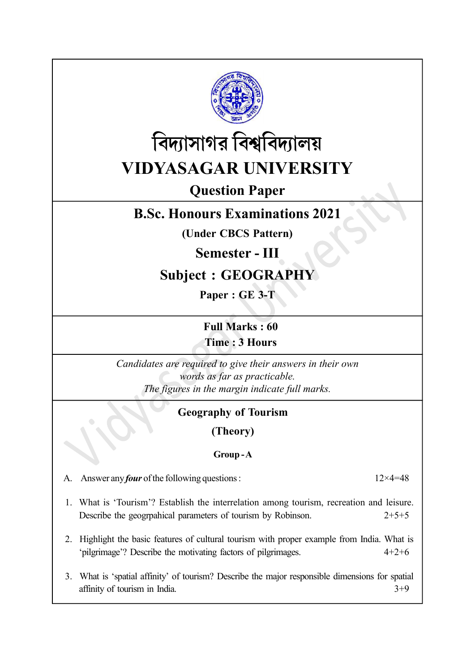



# Question Paper

# B.Sc. Honours Examinations 2021

(Under CBCS Pattern)

# Semester - III

# Subject : GEOGRAPHY

Paper : GE 3-T

Full Marks : 60 Time : 3 Hours

Candidates are required to give their answers in their own words as far as practicable. The figures in the margin indicate full marks.

# Geography of Tourism

(Theory)

### Group - A

A. Answer any *four* of the following questions :  $12 \times 4 = 48$ 

- 1. What is 'Tourism'? Establish the interrelation among tourism, recreation and leisure. Describe the geogrpahical parameters of tourism by Robinson. 2+5+5
- 2. Highlight the basic features of cultural tourism with proper example from India. What is 'pilgrimage'? Describe the motivating factors of pilgrimages. 4+2+6
- 3. What is 'spatial affinity' of tourism? Describe the major responsible dimensions for spatial affinity of tourism in India. 3+9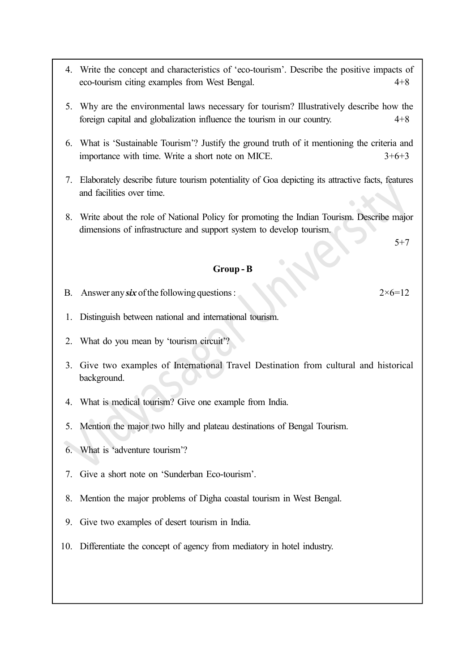- 4. Write the concept and characteristics of 'eco-tourism'. Describe the positive impacts of eco-tourism citing examples from West Bengal. 4+8
- 5. Why are the environmental laws necessary for tourism? Illustratively describe how the foreign capital and globalization influence the tourism in our country. 4+8
- 6. What is 'Sustainable Tourism'? Justify the ground truth of it mentioning the criteria and importance with time. Write a short note on MICE. 3+6+3
- 7. Elaborately describe future tourism potentiality of Goa depicting its attractive facts, features and facilities over time.
- 8. Write about the role of National Policy for promoting the Indian Tourism. Describe major dimensions of infrastructure and support system to develop tourism.

5+7

#### Group - B

- B. Answer any six of the following questions :  $2 \times 6 = 12$
- 1. Distinguish between national and international tourism.
- 2. What do you mean by 'tourism circuit'?
- 3. Give two examples of International Travel Destination from cultural and historical background.
- 4. What is medical tourism? Give one example from India.
- 5. Mention the major two hilly and plateau destinations of Bengal Tourism.
- 6. What is 'adventure tourism'?
- 7. Give a short note on 'Sunderban Eco-tourism'.
- 8. Mention the major problems of Digha coastal tourism in West Bengal.
- 9. Give two examples of desert tourism in India.
- 10. Differentiate the concept of agency from mediatory in hotel industry.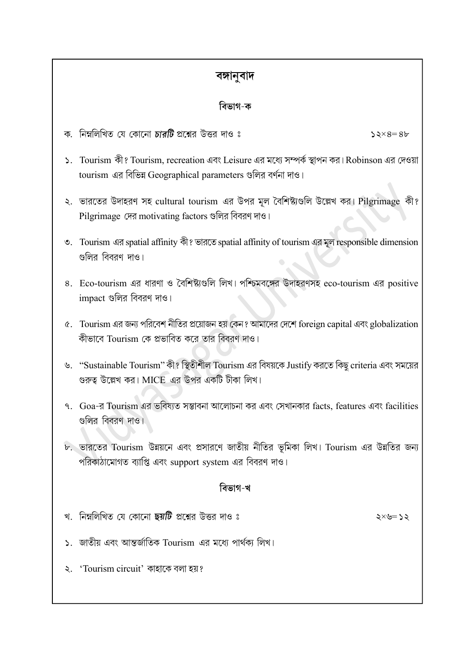# বঙ্গানুবাদ

## বিভাগ-ক

- ক. নিম্নলিখিত যে কোনো *চারটি* প্রশ্নের উত্তর দাও ঃ
- ১. Tourism কী? Tourism, recreation এবং Leisure এর মধ্যে সম্পর্ক স্থাপন কর। Robinson এর দেওয়া tourism এর বিভিন্ন Geographical parameters গুলির বর্ণনা দাও।
- ২. ভারতের উদাহরণ সহ cultural tourism এর উপর মূল বৈশিষ্ট্যগুলি উল্লেখ কর। Pilgrimage কী? Pilgrimage দের motivating factors গুলির বিবরণ দাও।
- ৩. Tourism এর spatial affinity কী? ভারতে spatial affinity of tourism এর মূল responsible dimension গুলির বিবরণ দাও।
- $8.$  Eco-tourism এর ধারণা ও বৈশিষ্ট্যগুলি লিখ। পশ্চিমবঙ্গের উদাহরণসহ eco-tourism এর positive impact গুলির বিবরণ দাও।
- ৫. Tourism এর জন্য পরিবেশ নীতির প্রয়োজন হয় কেন? আমাদের দেশে foreign capital এবং globalization কীভাবে Tourism কে প্রভাবিত করে তার বিবরণ দাও।
- ঙ. "Sustainable Tourism" কী? স্থিতীশীল Tourism এর বিষয়কে Justify করতে কিছু criteria এবং সময়ের গুরুত্ব উল্লেখ কর। MICE এর উপর একটি টীকা লিখ।
- ৭. Goa-র Tourism এর ভবিষ্যত সম্ভাবনা আলোচনা কর এবং সেখানকার facts, features এবং facilities গুলির বিবরণ দাও।
- ৮. ভারতের Tourism উন্নয়নে এবং প্রসারণে জাতীয় নীতির ভূমিকা লিখ। Tourism এর উন্নতির জন্য পরিকাঠামোগত ব্যাপ্তি এবং support system এর বিবরণ দাও।

## বিভাগ-খ

- খ. নিম্নলিখিত যে কোনো **ছয়টি** প্রশ্নের উত্তর দাও ঃ
- ১. জাতীয় এবং আন্তর্জাতিক Tourism এর মধ্যে পার্থক্য লিখ।
- ২. 'Tourism circuit' কাহাকে বলা হয়?

 $52\times8=86$ 

 $52 \times 52$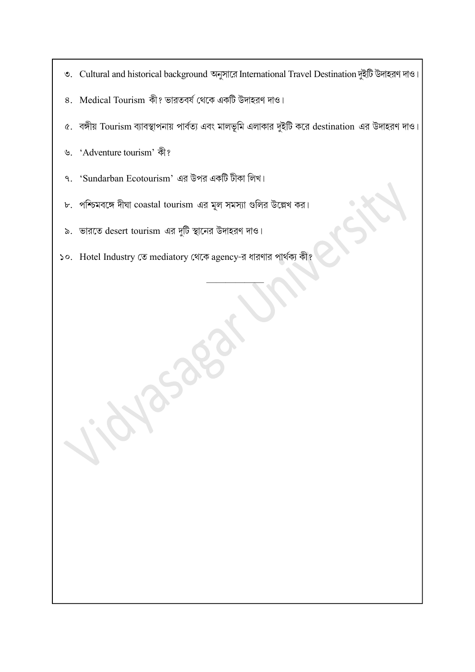- ৩. Cultural and historical background অনুসারে International Travel Destination দুইটি উদাহরণ দাও।
- ৪. Medical Tourism কী? ভারতবর্ষ থেকে একটি উদাহরণ দাও।
- ৫. বঙ্গীয় Tourism ব্যাবস্থাপনায় পার্বত্য এবং মালভূমি এলাকার দুইটি করে destination এর উদাহরণ দাও।

——————

- 'Adventure tourism'  $\mathcal{P}.$
- 'Sundarban Ecotourism' এর উপর একটি টীকা লিখ। ٩.
- পশ্চিমবঙ্গে দীঘা  $\rm{coastal}$  tourism এর মূল সমস্যা গুলির উল্লেখ কর।  ${\tt b}$  .
- ভারতে desert tourism এর দুটি স্থানের উদাহরণ দাও।  $\delta$ .
- ১০. Hotel Industry তে mediatory থেকে agency-র ধারণার পার্থক্য কী?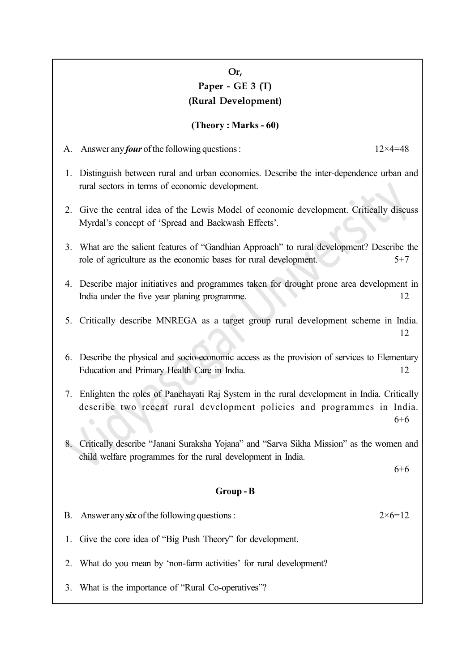## Or, Paper - GE 3 (T) (Rural Development)

#### (Theory : Marks - 60)

- A. Answer any *four* of the following questions :  $12 \times 4 = 48$
- 1. Distinguish between rural and urban economies. Describe the inter-dependence urban and rural sectors in terms of economic development.
- 2. Give the central idea of the Lewis Model of economic development. Critically discuss Myrdal's concept of 'Spread and Backwash Effects'.
- 3. What are the salient features of "Gandhian Approach" to rural development? Describe the role of agriculture as the economic bases for rural development.  $5+7$
- 4. Describe major initiatives and programmes taken for drought prone area development in India under the five year planing programme. 12
- 5. Critically describe MNREGA as a target group rural development scheme in India. 12
- 6. Describe the physical and socio-economic access as the provision of services to Elementary Education and Primary Health Care in India. 12
- 7. Enlighten the roles of Panchayati Raj System in the rural development in India. Critically describe two recent rural development policies and programmes in India. 6+6
- 8. Critically describe "Janani Suraksha Yojana" and "Sarva Sikha Mission" as the women and child welfare programmes for the rural development in India.

6+6

#### Group - B

- B. Answer any six of the following questions :  $2 \times 6 = 12$
- 1. Give the core idea of "Big Push Theory" for development.
- 2. What do you mean by 'non-farm activities' for rural development?
- 3. What is the importance of "Rural Co-operatives"?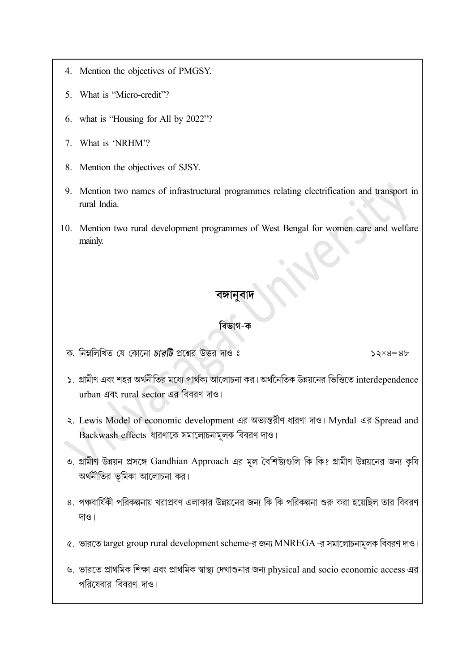- 4. Mention the objectives of PMGSY.
- 5. What is "Micro-credit"?
- 6. what is "Housing for All by 2022"?
- 7. What is 'NRHM'?
- 8. Mention the objectives of SJSY.
- 9. Mention two names of infrastructural programmes relating electrification and transport in rural India.
- 10. Mention two rural development programmes of West Bengal for women care and welfare mainly.

### বিভাগ-ক

ক. নিম্নলিখিত যে কোনো *চারটি* প্রশ্নের উত্তর দাও ঃ

 $52\times8=86$ 

- ১. গ্রামীণ এবং শহর অর্থনীতির মধ্যে পার্থক্য আলোচনা কর। অর্থনৈতিক উন্নয়নের ভিত্তিতে interdependence urban এবং rural sector এর বিবরণ দাও।
- ২. Lewis Model of economic development এর অভ্যন্তরীণ ধারণা দাও। Myrdal এর Spread and Backwash effects
- ৩. গ্রামীণ উন্নয়ন প্রসঙ্গে Gandhian Approach এর মূল বৈশিষ্ট্যগুলি কি কি? গ্রামীণ উন্নয়নের জন্য কৃষি অর্থনীতির ভূমিকা আলোচনা কর।
- ৪. পঞ্চবার্ষিকী পরিকল্পনায় খরাপ্রবণ এলাকার উন্নয়নের জন্য কি কি পরিকল্পনা শুরু করা হয়েছিল তার বিবরণ দাও।
- ৫. ভারতে target group rural development scheme-র জন্য MNREGA -র সমালোচনামূলক বিবরণ দাও।
- ঙ. ভারতে প্রাথমিক শিক্ষা এবং প্রাথমিক স্বাস্থ্য দেখাশুনার জন্য physical and socio economic access এর পরিষেবার বিবরণ দাও।